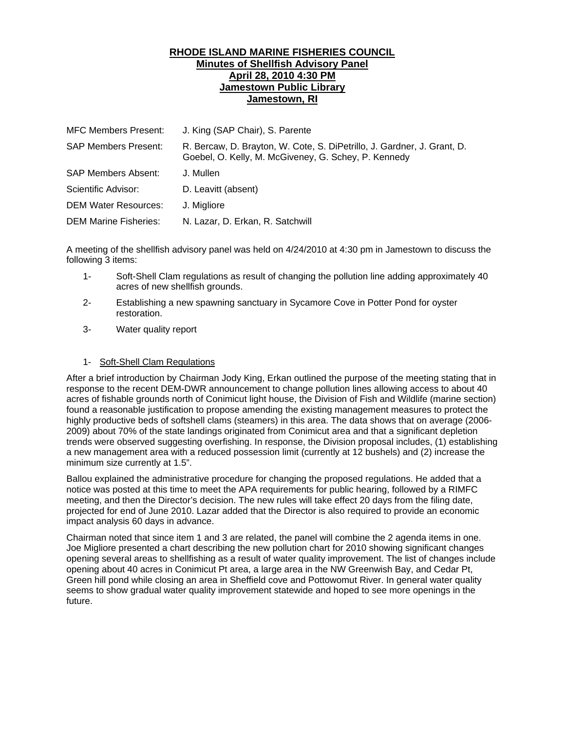## **RHODE ISLAND MARINE FISHERIES COUNCIL Minutes of Shellfish Advisory Panel April 28, 2010 4:30 PM Jamestown Public Library Jamestown, RI**

| <b>MFC Members Present:</b>  | J. King (SAP Chair), S. Parente                                                                                                 |
|------------------------------|---------------------------------------------------------------------------------------------------------------------------------|
| <b>SAP Members Present:</b>  | R. Bercaw, D. Brayton, W. Cote, S. DiPetrillo, J. Gardner, J. Grant, D.<br>Goebel, O. Kelly, M. McGiveney, G. Schey, P. Kennedy |
| SAP Members Absent:          | J. Mullen                                                                                                                       |
| Scientific Advisor:          | D. Leavitt (absent)                                                                                                             |
| <b>DEM Water Resources:</b>  | J. Migliore                                                                                                                     |
| <b>DEM Marine Fisheries:</b> | N. Lazar, D. Erkan, R. Satchwill                                                                                                |

A meeting of the shellfish advisory panel was held on 4/24/2010 at 4:30 pm in Jamestown to discuss the following 3 items:

- 1- Soft-Shell Clam regulations as result of changing the pollution line adding approximately 40 acres of new shellfish grounds.
- 2- Establishing a new spawning sanctuary in Sycamore Cove in Potter Pond for oyster restoration.
- 3- Water quality report

## 1- Soft-Shell Clam Regulations

After a brief introduction by Chairman Jody King, Erkan outlined the purpose of the meeting stating that in response to the recent DEM-DWR announcement to change pollution lines allowing access to about 40 acres of fishable grounds north of Conimicut light house, the Division of Fish and Wildlife (marine section) found a reasonable justification to propose amending the existing management measures to protect the highly productive beds of softshell clams (steamers) in this area. The data shows that on average (2006- 2009) about 70% of the state landings originated from Conimicut area and that a significant depletion trends were observed suggesting overfishing. In response, the Division proposal includes, (1) establishing a new management area with a reduced possession limit (currently at 12 bushels) and (2) increase the minimum size currently at 1.5".

Ballou explained the administrative procedure for changing the proposed regulations. He added that a notice was posted at this time to meet the APA requirements for public hearing, followed by a RIMFC meeting, and then the Director's decision. The new rules will take effect 20 days from the filing date, projected for end of June 2010. Lazar added that the Director is also required to provide an economic impact analysis 60 days in advance.

Chairman noted that since item 1 and 3 are related, the panel will combine the 2 agenda items in one. Joe Migliore presented a chart describing the new pollution chart for 2010 showing significant changes opening several areas to shellfishing as a result of water quality improvement. The list of changes include opening about 40 acres in Conimicut Pt area, a large area in the NW Greenwish Bay, and Cedar Pt, Green hill pond while closing an area in Sheffield cove and Pottowomut River. In general water quality seems to show gradual water quality improvement statewide and hoped to see more openings in the future.